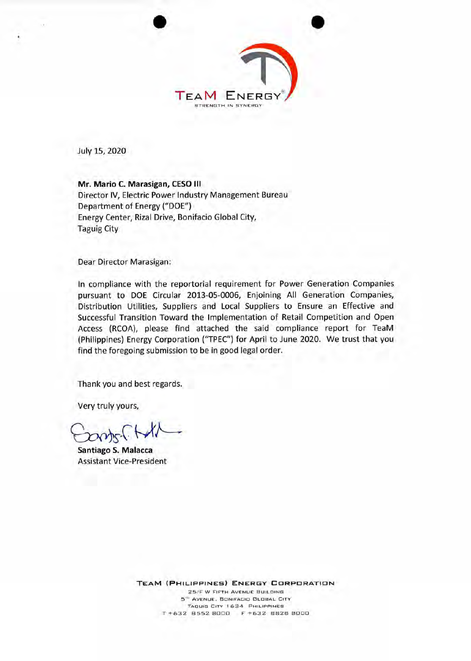

July 15, 2020

**Mr. Mario C. Marasigan, CESO III**  Director IV, Electric Power Industry Management Bureau Department of Energy ("DOE") Energy Center, Rizal Drive, Bonifacio Global City, Taguig City

Dear Director Marasigan:

In compliance with the reportorial requirement for Power Generation Companies pursuant to DOE Circular 2013-05-0006, Enjoining All Generation Companies, Distribution Utilities, Suppliers and Local Suppliers to Ensure an Effective and Successful Transition Toward the Implementation of Retail Competition and Open Access (RCOA), please find attached the said compliance report for TeaM (Philippines) Energy Corporation ("TPEC") for April to June 2020. We trust that you find the foregoing submission to be in good legal order.

Thank you and best regards.

Very truly yours,

onts-1.1

**Santiago S. Malacca**  Assistant Vice-President

> **TEAM (PHILIPPINES) ENERGY CORPORATION**  25/F W FIFTH AVENUE BUILDING 5'" AVENUE, BONIFACID GLOBAL CITY TAGUIG CITY 1634 PHILIPPINES T +632 8552 BE1013 F +632 BB25 B000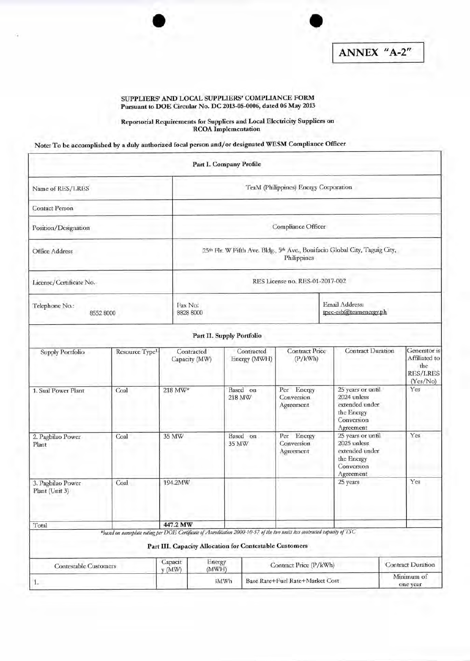## SUPPLIERS' AND LOCAL SUPPLIERS' COMPLIANCE FORM Pursuant to DOE Circular No. DC 2013-05-0006, dated 06 May 2013

## Reportorial Requirements for Suppliers and Local Electricity Suppliers on RCOA Implementation

Note: To be accomplished by a duly authorized focal person and/or designated WESM Compliance Officer

|                                     |                                                                                                                             |                   |                                                                                            | Part I. Company Profile                                 |                                 |                                       |                                                                                             |                                                                     |  |  |
|-------------------------------------|-----------------------------------------------------------------------------------------------------------------------------|-------------------|--------------------------------------------------------------------------------------------|---------------------------------------------------------|---------------------------------|---------------------------------------|---------------------------------------------------------------------------------------------|---------------------------------------------------------------------|--|--|
| Name of RES/LRES                    |                                                                                                                             |                   | TeaM (Philippines) Energy Corporation                                                      |                                                         |                                 |                                       |                                                                                             |                                                                     |  |  |
| <b>Contact Person</b>               |                                                                                                                             |                   |                                                                                            |                                                         |                                 |                                       |                                                                                             |                                                                     |  |  |
| Position/Designation                |                                                                                                                             |                   | Compliance Officer                                                                         |                                                         |                                 |                                       |                                                                                             |                                                                     |  |  |
| Office Address                      |                                                                                                                             |                   | 25th Flr. W Fifth Ave. Bldg., 5th Ave., Bonifacio Global City, Taguig City,<br>Philippines |                                                         |                                 |                                       |                                                                                             |                                                                     |  |  |
| License/Certificate No.             |                                                                                                                             |                   |                                                                                            |                                                         |                                 | RES License no. RES-01-2017-002       |                                                                                             |                                                                     |  |  |
| Telephone No.:<br>8552 8000         |                                                                                                                             |                   | Fax No:<br>8828 8000                                                                       |                                                         |                                 |                                       | Email Address:<br>tpec-esb@teamenergy.ph                                                    |                                                                     |  |  |
|                                     |                                                                                                                             |                   |                                                                                            | Part II. Supply Portfolio                               |                                 |                                       |                                                                                             |                                                                     |  |  |
| <b>Supply Portfolio</b>             | Resource Type <sup>1</sup>                                                                                                  |                   | Contracted<br>Capacity (MW)                                                                | Contracted<br>Energy (MWH)                              |                                 | <b>Contract Price</b><br>(P/kWh)      | <b>Contract Duration</b>                                                                    | Generator is<br>Affiliated to<br>the<br><b>RES/LRES</b><br>(Yes/No) |  |  |
| 1. Sual Power Plant                 | Coal                                                                                                                        | 218 MW*           |                                                                                            | Based on<br>218 MW                                      |                                 | Per Energy<br>Conversion<br>Agreement | 25 years or until<br>2024 unless<br>extended under<br>the Energy<br>Conversion<br>Agreement | Yes                                                                 |  |  |
| 2. Pagbilao Power<br>Plant          | Coal                                                                                                                        | 35 MW             |                                                                                            | Based on<br>35 MW                                       |                                 | Per Energy<br>Conversion<br>Agreement | 25 years or until<br>2025 unless<br>extended under<br>the Energy<br>Conversion<br>Agreement | Yes                                                                 |  |  |
| 3. Pagbilao Power<br>Plant (Unit 3) | Coal                                                                                                                        | 194.2MW           |                                                                                            |                                                         |                                 |                                       | 25 years                                                                                    | Yes                                                                 |  |  |
| Total                               | *based on nameplate rating per DOE Certificate of Accreditation 2000-10-57 of the two units less contracted capacity of TSC | 447.2 MW          |                                                                                            | Part III. Capacity Allocation for Contestable Customers |                                 |                                       |                                                                                             |                                                                     |  |  |
| <b>Contestable Customers</b>        |                                                                                                                             | Capacit<br>y (MW) | Energy<br>(MWH)                                                                            |                                                         | Contract Price (P/kWh)          |                                       |                                                                                             | <b>Contract Duration</b>                                            |  |  |
| 1.                                  |                                                                                                                             |                   | 3MWh                                                                                       |                                                         | Base Rate+Fuel Rate+Market Cost |                                       |                                                                                             | Minimum of<br>one year                                              |  |  |